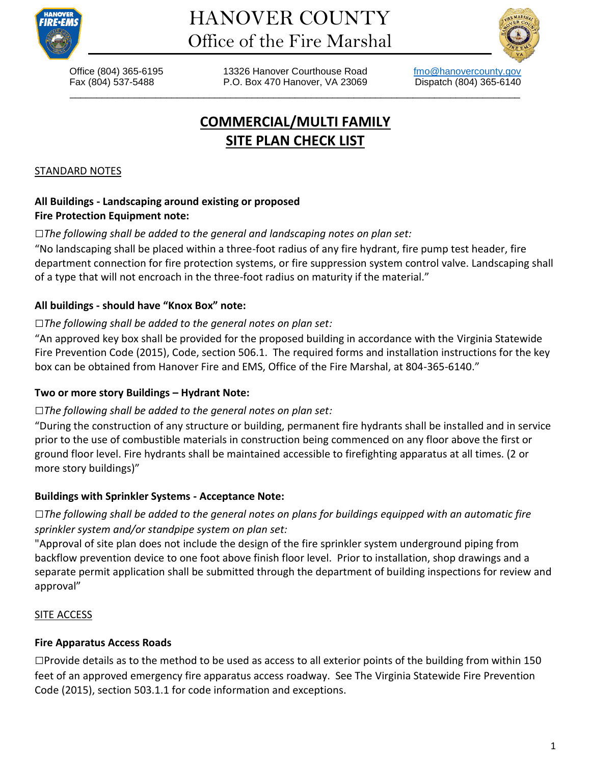



\_\_\_\_\_\_\_\_\_\_\_\_\_\_\_\_\_\_\_\_\_\_\_\_\_\_\_\_\_\_\_\_\_\_\_\_\_\_\_\_\_\_\_\_\_\_\_\_\_\_\_\_\_\_\_\_\_\_\_\_\_\_\_\_\_\_\_\_\_\_\_\_\_\_\_\_\_\_\_\_\_\_\_\_

Office (804) 365-6195 13326 Hanover Courthouse Road [fmo@hanovercounty.gov](mailto:fmo@hanovercounty.gov) Fax (804) 537-5488 P.O. Box 470 Hanover, VA 23069 Dispatch (804) 365-6140

# **COMMERCIAL/MULTI FAMILY SITE PLAN CHECK LIST**

#### STANDARD NOTES

# **All Buildings - Landscaping around existing or proposed Fire Protection Equipment note:**

# *□The following shall be added to the general and landscaping notes on plan set:*

"No landscaping shall be placed within a three-foot radius of any fire hydrant, fire pump test header, fire department connection for fire protection systems, or fire suppression system control valve. Landscaping shall of a type that will not encroach in the three-foot radius on maturity if the material."

# **All buildings - should have "Knox Box" note:**

# *□The following shall be added to the general notes on plan set:*

"An approved key box shall be provided for the proposed building in accordance with the Virginia Statewide Fire Prevention Code (2015), Code, section 506.1. The required forms and installation instructions for the key box can be obtained from Hanover Fire and EMS, Office of the Fire Marshal, at 804-365-6140."

# **Two or more story Buildings – Hydrant Note:**

# *□The following shall be added to the general notes on plan set:*

"During the construction of any structure or building, permanent fire hydrants shall be installed and in service prior to the use of combustible materials in construction being commenced on any floor above the first or ground floor level. Fire hydrants shall be maintained accessible to firefighting apparatus at all times. (2 or more story buildings)"

# **Buildings with Sprinkler Systems - Acceptance Note:**

*□The following shall be added to the general notes on plans for buildings equipped with an automatic fire sprinkler system and/or standpipe system on plan set:*

"Approval of site plan does not include the design of the fire sprinkler system underground piping from backflow prevention device to one foot above finish floor level. Prior to installation, shop drawings and a separate permit application shall be submitted through the department of building inspections for review and approval"

# **SITE ACCESS**

# **Fire Apparatus Access Roads**

*□*Provide details as to the method to be used as access to all exterior points of the building from within 150 feet of an approved emergency fire apparatus access roadway. See The Virginia Statewide Fire Prevention Code (2015), section 503.1.1 for code information and exceptions.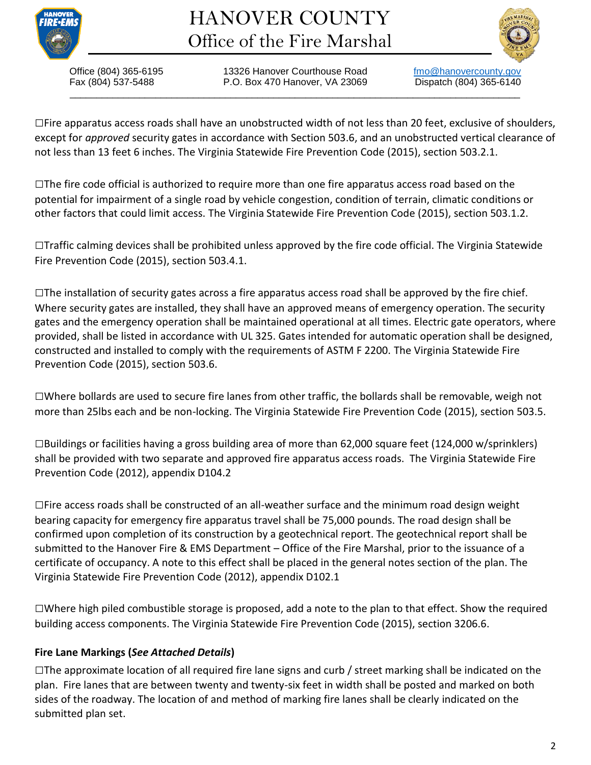

# HANOVER COUNTY Office of the Fire Marshal



\_\_\_\_\_\_\_\_\_\_\_\_\_\_\_\_\_\_\_\_\_\_\_\_\_\_\_\_\_\_\_\_\_\_\_\_\_\_\_\_\_\_\_\_\_\_\_\_\_\_\_\_\_\_\_\_\_\_\_\_\_\_\_\_\_\_\_\_\_\_\_\_\_\_\_\_\_\_\_\_\_\_\_\_

Office (804) 365-6195 13326 Hanover Courthouse Road [fmo@hanovercounty.gov](mailto:fmo@hanovercounty.gov) Fax (804) 537-5488 P.O. Box 470 Hanover, VA 23069 Dispatch (804) 365-6140

*□*Fire apparatus access roads shall have an unobstructed width of not less than 20 feet, exclusive of shoulders, except for *approved* security gates in accordance with Section 503.6, and an unobstructed vertical clearance of not less than 13 feet 6 inches. The Virginia Statewide Fire Prevention Code (2015), section 503.2.1.

*□*The [fire code official](https://up.codes/viewer/virginia/ifc-2015/chapter/2/definitions#fire_code_official) is authorized to require more than one [fire apparatus access road](https://up.codes/viewer/virginia/ifc-2015/chapter/2/definitions#fire_apparatus_access_road) based on the potential for impairment of a single road by vehicle congestion, condition of terrain, climatic conditions or other factors that could limit access. The Virginia Statewide Fire Prevention Code (2015), section 503.1.2.

*□*Traffic calming devices shall be prohibited unless approved by the fire code official. The Virginia Statewide Fire Prevention Code (2015), section 503.4.1.

*□*The installation of security gates across a [fire apparatus access road](https://up.codes/viewer/virginia/ifc-2015/chapter/2/definitions#fire_apparatus_access_road) shall be approved by the [fire chief.](https://up.codes/viewer/virginia/ifc-2015/chapter/2/definitions#fire_chief) Where security gates are installed, they shall have an approved means of emergency operation. The security gates and the emergency operation shall be maintained operational at all times. Electric gate operators, where provided, shall be listed in accordance with UL 325. Gates intended for [automatic](https://up.codes/viewer/virginia/ifc-2015/chapter/2/definitions#automatic) operation shall be designed, constructed and installed to comply with the requirements of ASTM F 2200. The Virginia Statewide Fire Prevention Code (2015), section 503.6.

*□*Where bollards are used to secure fire lanes from other traffic, the bollards shall be removable, weigh not more than 25lbs each and be non-locking. The Virginia Statewide Fire Prevention Code (2015), section 503.5.

*□*Buildings or facilities having a gross building area of more than 62,000 square feet (124,000 w/sprinklers) shall be provided with two separate and approved fire apparatus access roads. The Virginia Statewide Fire Prevention Code (2012), appendix D104.2

*□*Fire access roads shall be constructed of an all-weather surface and the minimum road design weight bearing capacity for emergency fire apparatus travel shall be 75,000 pounds. The road design shall be confirmed upon completion of its construction by a geotechnical report. The geotechnical report shall be submitted to the Hanover Fire & EMS Department – Office of the Fire Marshal, prior to the issuance of a certificate of occupancy. A note to this effect shall be placed in the general notes section of the plan. The Virginia Statewide Fire Prevention Code (2012), appendix D102.1

*□*Where high piled combustible storage is proposed, add a note to the plan to that effect. Show the required building access components. The Virginia Statewide Fire Prevention Code (2015), section 3206.6.

# **Fire Lane Markings (***See Attached Details***)**

*□*The approximate location of all required fire lane signs and curb / street marking shall be indicated on the plan. Fire lanes that are between twenty and twenty-six feet in width shall be posted and marked on both sides of the roadway. The location of and method of marking fire lanes shall be clearly indicated on the submitted plan set.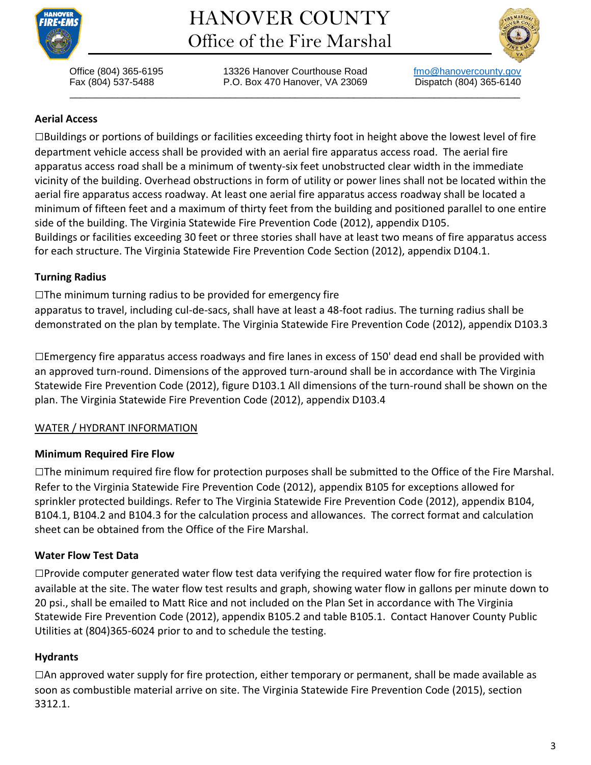

# HANOVER COUNTY Office of the Fire Marshal



\_\_\_\_\_\_\_\_\_\_\_\_\_\_\_\_\_\_\_\_\_\_\_\_\_\_\_\_\_\_\_\_\_\_\_\_\_\_\_\_\_\_\_\_\_\_\_\_\_\_\_\_\_\_\_\_\_\_\_\_\_\_\_\_\_\_\_\_\_\_\_\_\_\_\_\_\_\_\_\_\_\_\_\_

Office (804) 365-6195 13326 Hanover Courthouse Road [fmo@hanovercounty.gov](mailto:fmo@hanovercounty.gov) Fax (804) 537-5488 P.O. Box 470 Hanover, VA 23069 Dispatch (804) 365-6140

# **Aerial Access**

*□*Buildings or portions of buildings or facilities exceeding thirty foot in height above the lowest level of fire department vehicle access shall be provided with an aerial fire apparatus access road. The aerial fire apparatus access road shall be a minimum of twenty-six feet unobstructed clear width in the immediate vicinity of the building. Overhead obstructions in form of utility or power lines shall not be located within the aerial fire apparatus access roadway. At least one aerial fire apparatus access roadway shall be located a minimum of fifteen feet and a maximum of thirty feet from the building and positioned parallel to one entire side of the building. The Virginia Statewide Fire Prevention Code (2012), appendix D105. Buildings or facilities exceeding 30 feet or three stories shall have at least two means of fire apparatus access for each structure. The Virginia Statewide Fire Prevention Code Section (2012), appendix D104.1.

# **Turning Radius**

# *□*The minimum turning radius to be provided for emergency fire

apparatus to travel, including cul-de-sacs, shall have at least a 48-foot radius. The turning radius shall be demonstrated on the plan by template. The Virginia Statewide Fire Prevention Code (2012), appendix D103.3

*□*Emergency fire apparatus access roadways and fire lanes in excess of 150' dead end shall be provided with an approved turn-round. Dimensions of the approved turn-around shall be in accordance with The Virginia Statewide Fire Prevention Code (2012), figure D103.1 All dimensions of the turn-round shall be shown on the plan. The Virginia Statewide Fire Prevention Code (2012), appendix D103.4

# WATER / HYDRANT INFORMATION

# **Minimum Required Fire Flow**

*□*The minimum required fire flow for protection purposes shall be submitted to the Office of the Fire Marshal. Refer to the Virginia Statewide Fire Prevention Code (2012), appendix B105 for exceptions allowed for sprinkler protected buildings. Refer to The Virginia Statewide Fire Prevention Code (2012), appendix B104, B104.1, B104.2 and B104.3 for the calculation process and allowances. The correct format and calculation sheet can be obtained from the Office of the Fire Marshal.

# **Water Flow Test Data**

*□*Provide computer generated water flow test data verifying the required water flow for fire protection is available at the site. The water flow test results and graph, showing water flow in gallons per minute down to 20 psi., shall be emailed to Matt Rice and not included on the Plan Set in accordance with The Virginia Statewide Fire Prevention Code (2012), appendix B105.2 and table B105.1. Contact Hanover County Public Utilities at (804)365-6024 prior to and to schedule the testing.

# **Hydrants**

*□*An approved water supply for fire protection, either temporary or permanent, shall be made available as soon as combustible material arrive on site. The Virginia Statewide Fire Prevention Code (2015), section 3312.1.